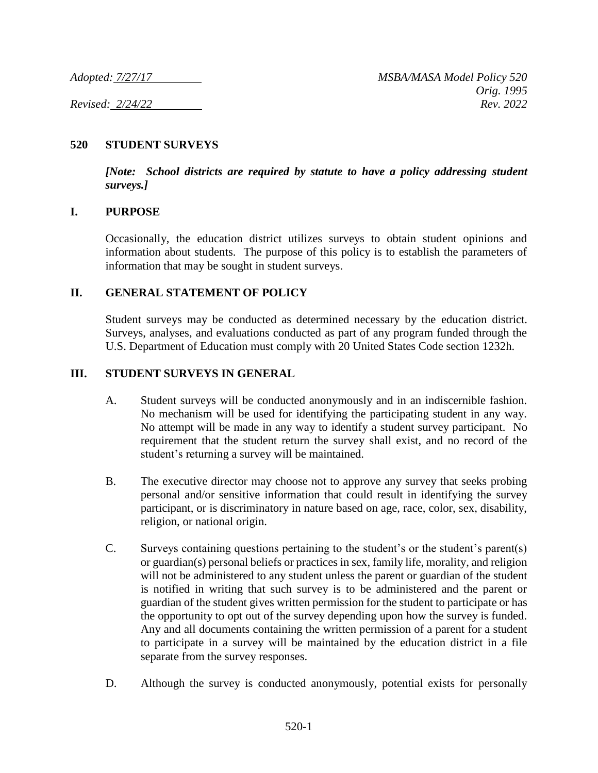## **520 STUDENT SURVEYS**

*[Note: School districts are required by statute to have a policy addressing student surveys.]*

## **I. PURPOSE**

Occasionally, the education district utilizes surveys to obtain student opinions and information about students. The purpose of this policy is to establish the parameters of information that may be sought in student surveys.

## **II. GENERAL STATEMENT OF POLICY**

Student surveys may be conducted as determined necessary by the education district. Surveys, analyses, and evaluations conducted as part of any program funded through the U.S. Department of Education must comply with 20 United States Code section 1232h.

### **III. STUDENT SURVEYS IN GENERAL**

- A. Student surveys will be conducted anonymously and in an indiscernible fashion. No mechanism will be used for identifying the participating student in any way. No attempt will be made in any way to identify a student survey participant. No requirement that the student return the survey shall exist, and no record of the student's returning a survey will be maintained.
- B. The executive director may choose not to approve any survey that seeks probing personal and/or sensitive information that could result in identifying the survey participant, or is discriminatory in nature based on age, race, color, sex, disability, religion, or national origin.
- C. Surveys containing questions pertaining to the student's or the student's parent(s) or guardian(s) personal beliefs or practices in sex, family life, morality, and religion will not be administered to any student unless the parent or guardian of the student is notified in writing that such survey is to be administered and the parent or guardian of the student gives written permission for the student to participate or has the opportunity to opt out of the survey depending upon how the survey is funded. Any and all documents containing the written permission of a parent for a student to participate in a survey will be maintained by the education district in a file separate from the survey responses.
- D. Although the survey is conducted anonymously, potential exists for personally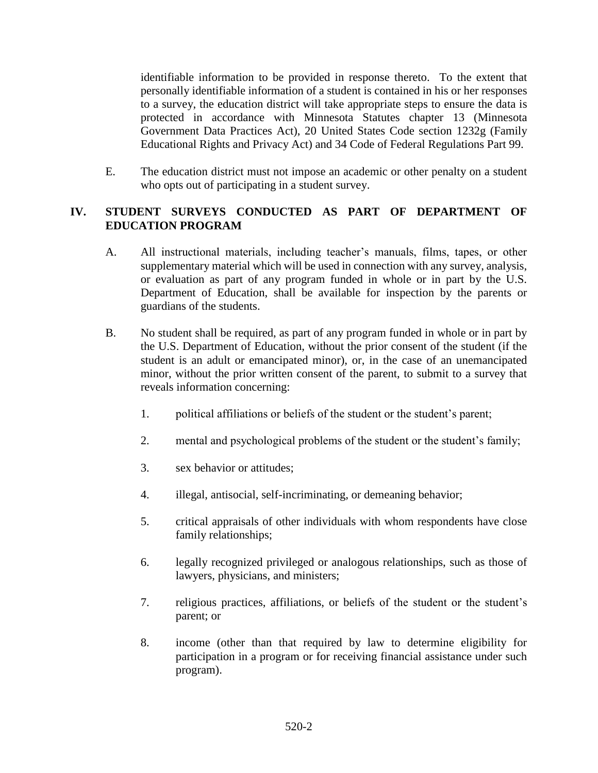identifiable information to be provided in response thereto. To the extent that personally identifiable information of a student is contained in his or her responses to a survey, the education district will take appropriate steps to ensure the data is protected in accordance with Minnesota Statutes chapter 13 (Minnesota Government Data Practices Act), 20 United States Code section 1232g (Family Educational Rights and Privacy Act) and 34 Code of Federal Regulations Part 99.

E. The education district must not impose an academic or other penalty on a student who opts out of participating in a student survey.

# **IV. STUDENT SURVEYS CONDUCTED AS PART OF DEPARTMENT OF EDUCATION PROGRAM**

- A. All instructional materials, including teacher's manuals, films, tapes, or other supplementary material which will be used in connection with any survey, analysis, or evaluation as part of any program funded in whole or in part by the U.S. Department of Education, shall be available for inspection by the parents or guardians of the students.
- B. No student shall be required, as part of any program funded in whole or in part by the U.S. Department of Education, without the prior consent of the student (if the student is an adult or emancipated minor), or, in the case of an unemancipated minor, without the prior written consent of the parent, to submit to a survey that reveals information concerning:
	- 1. political affiliations or beliefs of the student or the student's parent;
	- 2. mental and psychological problems of the student or the student's family;
	- 3. sex behavior or attitudes;
	- 4. illegal, antisocial, self-incriminating, or demeaning behavior;
	- 5. critical appraisals of other individuals with whom respondents have close family relationships;
	- 6. legally recognized privileged or analogous relationships, such as those of lawyers, physicians, and ministers;
	- 7. religious practices, affiliations, or beliefs of the student or the student's parent; or
	- 8. income (other than that required by law to determine eligibility for participation in a program or for receiving financial assistance under such program).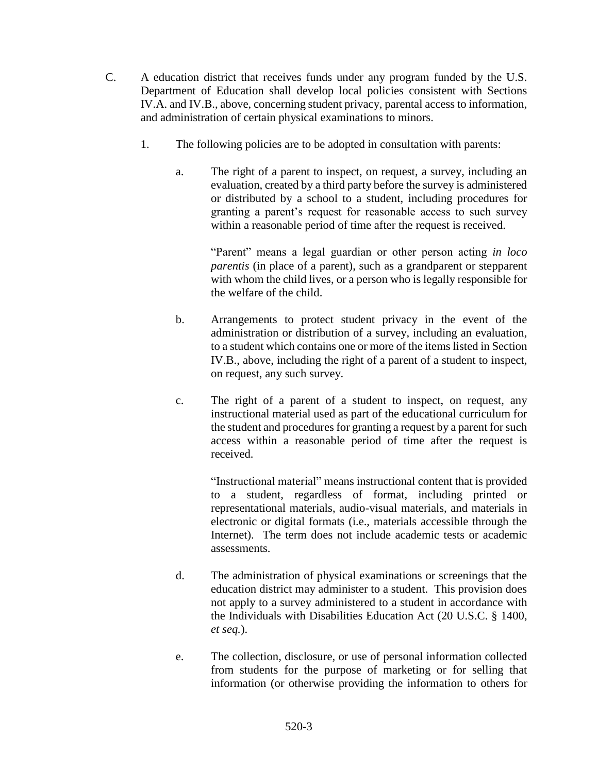- C. A education district that receives funds under any program funded by the U.S. Department of Education shall develop local policies consistent with Sections IV.A. and IV.B., above, concerning student privacy, parental access to information, and administration of certain physical examinations to minors.
	- 1. The following policies are to be adopted in consultation with parents:
		- a. The right of a parent to inspect, on request, a survey, including an evaluation, created by a third party before the survey is administered or distributed by a school to a student, including procedures for granting a parent's request for reasonable access to such survey within a reasonable period of time after the request is received.

"Parent" means a legal guardian or other person acting *in loco parentis* (in place of a parent), such as a grandparent or stepparent with whom the child lives, or a person who is legally responsible for the welfare of the child.

- b. Arrangements to protect student privacy in the event of the administration or distribution of a survey, including an evaluation, to a student which contains one or more of the items listed in Section IV.B., above, including the right of a parent of a student to inspect, on request, any such survey.
- c. The right of a parent of a student to inspect, on request, any instructional material used as part of the educational curriculum for the student and procedures for granting a request by a parent for such access within a reasonable period of time after the request is received.

"Instructional material" means instructional content that is provided to a student, regardless of format, including printed or representational materials, audio-visual materials, and materials in electronic or digital formats (i.e., materials accessible through the Internet). The term does not include academic tests or academic assessments.

- d. The administration of physical examinations or screenings that the education district may administer to a student. This provision does not apply to a survey administered to a student in accordance with the Individuals with Disabilities Education Act (20 U.S.C. § 1400, *et seq.*).
- e. The collection, disclosure, or use of personal information collected from students for the purpose of marketing or for selling that information (or otherwise providing the information to others for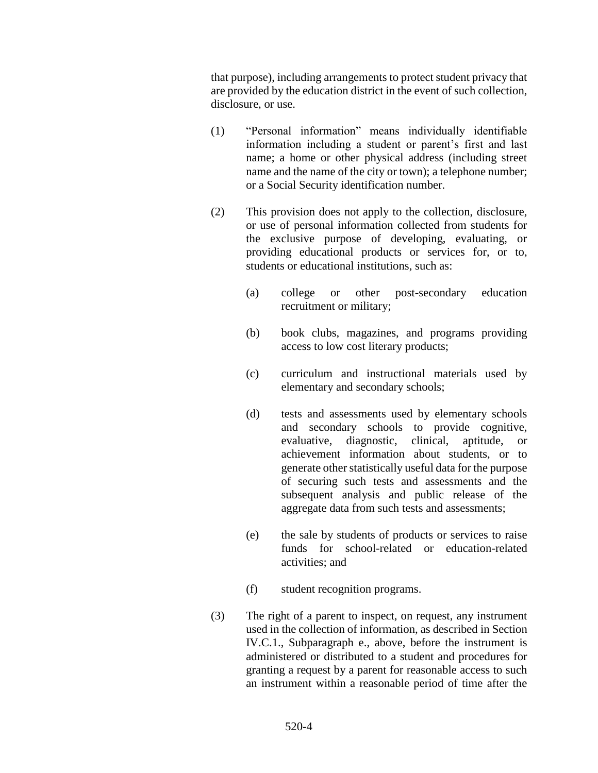that purpose), including arrangements to protect student privacy that are provided by the education district in the event of such collection, disclosure, or use.

- (1) "Personal information" means individually identifiable information including a student or parent's first and last name; a home or other physical address (including street name and the name of the city or town); a telephone number; or a Social Security identification number.
- (2) This provision does not apply to the collection, disclosure, or use of personal information collected from students for the exclusive purpose of developing, evaluating, or providing educational products or services for, or to, students or educational institutions, such as:
	- (a) college or other post-secondary education recruitment or military;
	- (b) book clubs, magazines, and programs providing access to low cost literary products;
	- (c) curriculum and instructional materials used by elementary and secondary schools;
	- (d) tests and assessments used by elementary schools and secondary schools to provide cognitive, evaluative, diagnostic, clinical, aptitude, or achievement information about students, or to generate other statistically useful data for the purpose of securing such tests and assessments and the subsequent analysis and public release of the aggregate data from such tests and assessments;
	- (e) the sale by students of products or services to raise funds for school-related or education-related activities; and
	- (f) student recognition programs.
- (3) The right of a parent to inspect, on request, any instrument used in the collection of information, as described in Section IV.C.1., Subparagraph e., above, before the instrument is administered or distributed to a student and procedures for granting a request by a parent for reasonable access to such an instrument within a reasonable period of time after the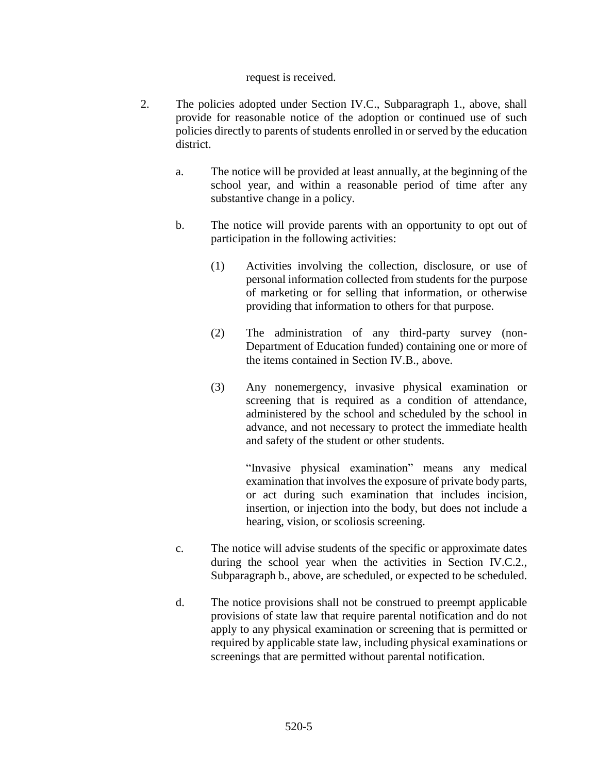#### request is received.

- 2. The policies adopted under Section IV.C., Subparagraph 1., above, shall provide for reasonable notice of the adoption or continued use of such policies directly to parents of students enrolled in or served by the education district.
	- a. The notice will be provided at least annually, at the beginning of the school year, and within a reasonable period of time after any substantive change in a policy.
	- b. The notice will provide parents with an opportunity to opt out of participation in the following activities:
		- (1) Activities involving the collection, disclosure, or use of personal information collected from students for the purpose of marketing or for selling that information, or otherwise providing that information to others for that purpose.
		- (2) The administration of any third-party survey (non-Department of Education funded) containing one or more of the items contained in Section IV.B., above.
		- (3) Any nonemergency, invasive physical examination or screening that is required as a condition of attendance, administered by the school and scheduled by the school in advance, and not necessary to protect the immediate health and safety of the student or other students.

"Invasive physical examination" means any medical examination that involves the exposure of private body parts, or act during such examination that includes incision, insertion, or injection into the body, but does not include a hearing, vision, or scoliosis screening.

- c. The notice will advise students of the specific or approximate dates during the school year when the activities in Section IV.C.2., Subparagraph b., above, are scheduled, or expected to be scheduled.
- d. The notice provisions shall not be construed to preempt applicable provisions of state law that require parental notification and do not apply to any physical examination or screening that is permitted or required by applicable state law, including physical examinations or screenings that are permitted without parental notification.